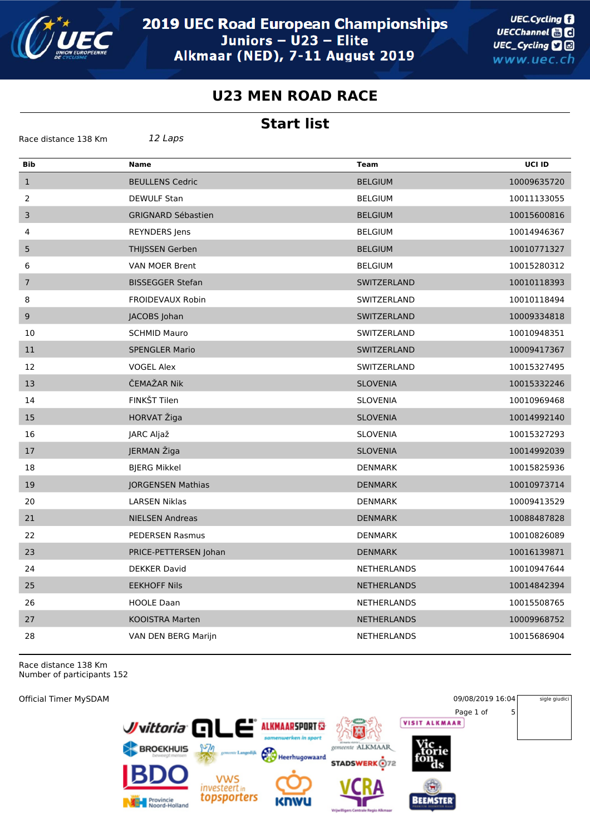

**UEC.Cycling** UECChannel **and** UEC\_Cycling **D** www.uec.ch

## **U23 MEN ROAD RACE**

## **Start list**

| 12 Laps<br>Race distance 138 Km |                           |                    |             |
|---------------------------------|---------------------------|--------------------|-------------|
| Bib                             | <b>Name</b>               | <b>Team</b>        | UCI ID      |
| $\mathbf{1}$                    | <b>BEULLENS Cedric</b>    | <b>BELGIUM</b>     | 10009635720 |
| 2                               | <b>DEWULF Stan</b>        | <b>BELGIUM</b>     | 10011133055 |
| $\mathsf 3$                     | <b>GRIGNARD Sébastien</b> | <b>BELGIUM</b>     | 10015600816 |
| 4                               | REYNDERS Jens             | <b>BELGIUM</b>     | 10014946367 |
| 5                               | <b>THIJSSEN Gerben</b>    | <b>BELGIUM</b>     | 10010771327 |
| 6                               | VAN MOER Brent            | <b>BELGIUM</b>     | 10015280312 |
| $\overline{7}$                  | <b>BISSEGGER Stefan</b>   | SWITZERLAND        | 10010118393 |
| 8                               | FROIDEVAUX Robin          | SWITZERLAND        | 10010118494 |
| $\boldsymbol{9}$                | JACOBS Johan              | SWITZERLAND        | 10009334818 |
| 10                              | <b>SCHMID Mauro</b>       | SWITZERLAND        | 10010948351 |
| 11                              | <b>SPENGLER Mario</b>     | SWITZERLAND        | 10009417367 |
| 12                              | <b>VOGEL Alex</b>         | SWITZERLAND        | 10015327495 |
| 13                              | ČEMAŽAR Nik               | <b>SLOVENIA</b>    | 10015332246 |
| 14                              | FINKŠT Tilen              | <b>SLOVENIA</b>    | 10010969468 |
| 15                              | HORVAT Žiga               | <b>SLOVENIA</b>    | 10014992140 |
| 16                              | JARC Aljaž                | <b>SLOVENIA</b>    | 10015327293 |
| 17                              | JERMAN Žiga               | <b>SLOVENIA</b>    | 10014992039 |
| 18                              | <b>BJERG Mikkel</b>       | <b>DENMARK</b>     | 10015825936 |
| 19                              | <b>JORGENSEN Mathias</b>  | <b>DENMARK</b>     | 10010973714 |
| 20                              | <b>LARSEN Niklas</b>      | <b>DENMARK</b>     | 10009413529 |
| 21                              | <b>NIELSEN Andreas</b>    | <b>DENMARK</b>     | 10088487828 |
| 22                              | <b>PEDERSEN Rasmus</b>    | <b>DENMARK</b>     | 10010826089 |
| 23                              | PRICE-PETTERSEN Johan     | <b>DENMARK</b>     | 10016139871 |
| 24                              | <b>DEKKER David</b>       | NETHERLANDS        | 10010947644 |
| 25                              | <b>EEKHOFF Nils</b>       | <b>NETHERLANDS</b> | 10014842394 |
| 26                              | <b>HOOLE Daan</b>         | <b>NETHERLANDS</b> | 10015508765 |
| 27                              | <b>KOOISTRA Marten</b>    | <b>NETHERLANDS</b> | 10009968752 |
| 28                              | VAN DEN BERG Marijn       | <b>NETHERLANDS</b> | 10015686904 |

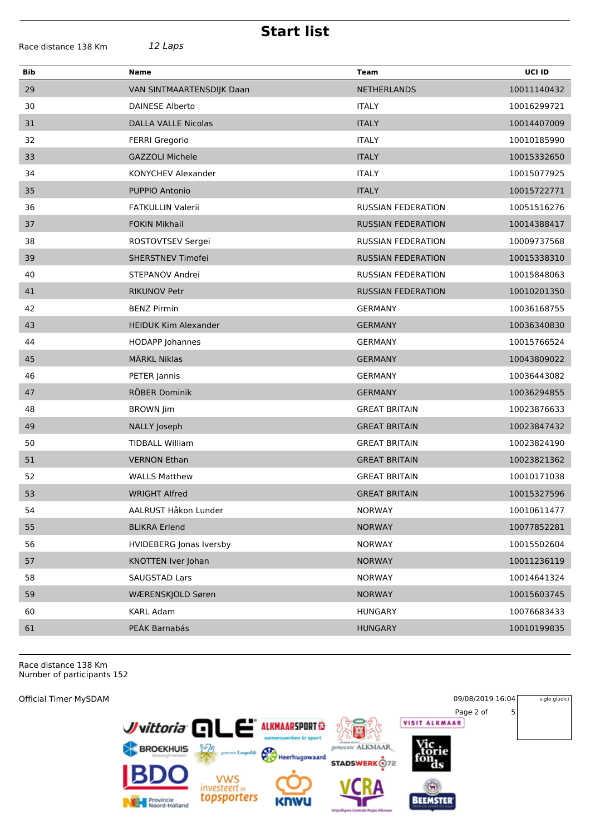**Start list**

| Name                           | Team                      | UCI ID      |
|--------------------------------|---------------------------|-------------|
| VAN SINTMAARTENSDIJK Daan      | <b>NETHERLANDS</b>        | 10011140432 |
| <b>DAINESE Alberto</b>         | <b>ITALY</b>              | 10016299721 |
| <b>DALLA VALLE Nicolas</b>     | <b>ITALY</b>              | 10014407009 |
| <b>FERRI Gregorio</b>          | <b>ITALY</b>              | 10010185990 |
| <b>GAZZOLI Michele</b>         | <b>ITALY</b>              | 10015332650 |
| KONYCHEV Alexander             | <b>ITALY</b>              | 10015077925 |
| PUPPIO Antonio                 | <b>ITALY</b>              | 10015722771 |
| <b>FATKULLIN Valerii</b>       | <b>RUSSIAN FEDERATION</b> | 10051516276 |
| <b>FOKIN Mikhail</b>           | <b>RUSSIAN FEDERATION</b> | 10014388417 |
| ROSTOVTSEV Sergei              | <b>RUSSIAN FEDERATION</b> | 10009737568 |
| <b>SHERSTNEV Timofei</b>       | <b>RUSSIAN FEDERATION</b> | 10015338310 |
| STEPANOV Andrei                | <b>RUSSIAN FEDERATION</b> | 10015848063 |
| <b>RIKUNOV Petr</b>            | <b>RUSSIAN FEDERATION</b> | 10010201350 |
| <b>BENZ Pirmin</b>             | <b>GERMANY</b>            | 10036168755 |
| <b>HEIDUK Kim Alexander</b>    | <b>GERMANY</b>            | 10036340830 |
| <b>HODAPP Johannes</b>         | <b>GERMANY</b>            | 10015766524 |
| <b>MÄRKL Niklas</b>            | <b>GERMANY</b>            | 10043809022 |
| PETER Jannis                   | <b>GERMANY</b>            | 10036443082 |
| RÖBER Dominik                  | <b>GERMANY</b>            | 10036294855 |
| <b>BROWN Jim</b>               | <b>GREAT BRITAIN</b>      | 10023876633 |
| NALLY Joseph                   | <b>GREAT BRITAIN</b>      | 10023847432 |
| <b>TIDBALL William</b>         | <b>GREAT BRITAIN</b>      | 10023824190 |
| <b>VERNON Ethan</b>            | <b>GREAT BRITAIN</b>      | 10023821362 |
| <b>WALLS Matthew</b>           | <b>GREAT BRITAIN</b>      | 10010171038 |
| <b>WRIGHT Alfred</b>           | <b>GREAT BRITAIN</b>      | 10015327596 |
| AALRUST Håkon Lunder           | <b>NORWAY</b>             | 10010611477 |
| <b>BLIKRA Erlend</b>           | <b>NORWAY</b>             | 10077852281 |
| <b>HVIDEBERG Jonas Iversby</b> | <b>NORWAY</b>             | 10015502604 |
| KNOTTEN Iver Johan             | <b>NORWAY</b>             | 10011236119 |
| <b>SAUGSTAD Lars</b>           | <b>NORWAY</b>             | 10014641324 |
| WÆRENSKJOLD Søren              | <b>NORWAY</b>             | 10015603745 |
| <b>KARL Adam</b>               | <b>HUNGARY</b>            | 10076683433 |
| PEÁK Barnabás                  | <b>HUNGARY</b>            | 10010199835 |
|                                |                           |             |

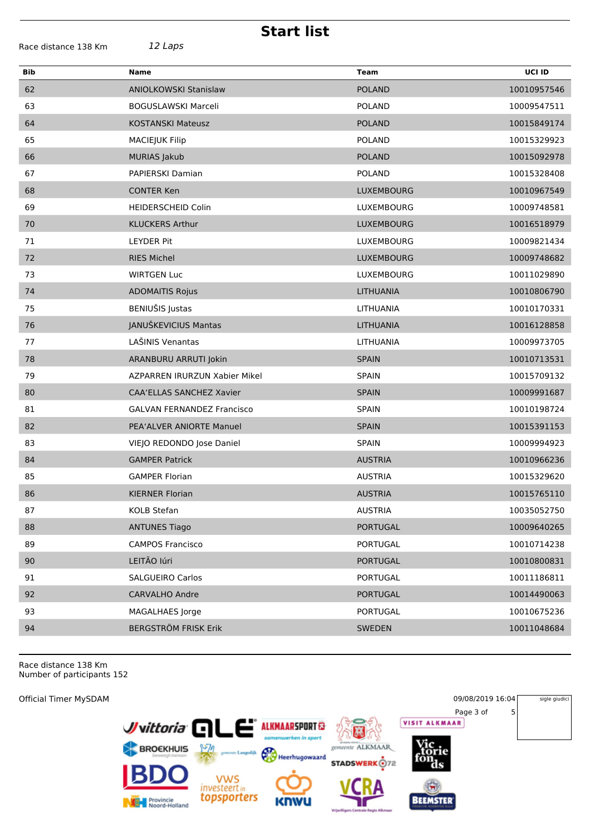| <b>Start list</b>    |                                   |                   |             |  |
|----------------------|-----------------------------------|-------------------|-------------|--|
| Race distance 138 Km | 12 Laps                           |                   |             |  |
| <b>Bib</b>           | <b>Name</b>                       | <b>Team</b>       | UCI ID      |  |
| 62                   | <b>ANIOLKOWSKI Stanislaw</b>      | <b>POLAND</b>     | 10010957546 |  |
| 63                   | <b>BOGUSLAWSKI Marceli</b>        | <b>POLAND</b>     | 10009547511 |  |
| 64                   | <b>KOSTANSKI Mateusz</b>          | <b>POLAND</b>     | 10015849174 |  |
| 65                   | <b>MACIEJUK Filip</b>             | <b>POLAND</b>     | 10015329923 |  |
| 66                   | <b>MURIAS Jakub</b>               | <b>POLAND</b>     | 10015092978 |  |
| 67                   | <b>PAPIERSKI Damian</b>           | <b>POLAND</b>     | 10015328408 |  |
| 68                   | <b>CONTER Ken</b>                 | <b>LUXEMBOURG</b> | 10010967549 |  |
| 69                   | <b>HEIDERSCHEID Colin</b>         | LUXEMBOURG        | 10009748581 |  |
| 70                   | <b>KLUCKERS Arthur</b>            | LUXEMBOURG        | 10016518979 |  |
| 71                   | <b>LEYDER Pit</b>                 | LUXEMBOURG        | 10009821434 |  |
| 72                   | <b>RIES Michel</b>                | <b>LUXEMBOURG</b> | 10009748682 |  |
| 73                   | <b>WIRTGEN Luc</b>                | LUXEMBOURG        | 10011029890 |  |
| 74                   | <b>ADOMAITIS Rojus</b>            | LITHUANIA         | 10010806790 |  |
| 75                   | BENIUŠIS Justas                   | LITHUANIA         | 10010170331 |  |
| 76                   | JANUŠKEVICIUS Mantas              | LITHUANIA         | 10016128858 |  |
| 77                   | LAŠINIS Venantas                  | LITHUANIA         | 10009973705 |  |
| 78                   | ARANBURU ARRUTI Jokin             | <b>SPAIN</b>      | 10010713531 |  |
| 79                   | AZPARREN IRURZUN Xabier Mikel     | <b>SPAIN</b>      | 10015709132 |  |
| 80                   | CAA'ELLAS SANCHEZ Xavier          | <b>SPAIN</b>      | 10009991687 |  |
| 81                   | <b>GALVAN FERNANDEZ Francisco</b> | <b>SPAIN</b>      | 10010198724 |  |
| 82                   | PEA'ALVER ANIORTE Manuel          | <b>SPAIN</b>      | 10015391153 |  |
| 83                   | VIEJO REDONDO Jose Daniel         | <b>SPAIN</b>      | 10009994923 |  |
| 84                   | <b>GAMPER Patrick</b>             | <b>AUSTRIA</b>    | 10010966236 |  |
| 85                   | <b>GAMPER Florian</b>             | <b>AUSTRIA</b>    | 10015329620 |  |
| 86                   | <b>KIERNER Florian</b>            | <b>AUSTRIA</b>    | 10015765110 |  |
| 87                   | KOLB Stefan                       | <b>AUSTRIA</b>    | 10035052750 |  |
| 88                   | <b>ANTUNES Tiago</b>              | <b>PORTUGAL</b>   | 10009640265 |  |
| 89                   | <b>CAMPOS Francisco</b>           | PORTUGAL          | 10010714238 |  |
| 90                   | LEITÃO Iúri                       | <b>PORTUGAL</b>   | 10010800831 |  |
| 91                   | <b>SALGUEIRO Carlos</b>           | PORTUGAL          | 10011186811 |  |
| 92                   | CARVALHO Andre                    | <b>PORTUGAL</b>   | 10014490063 |  |
| 93                   | MAGALHAES Jorge                   | PORTUGAL          | 10010675236 |  |
| 94                   | <b>BERGSTRÖM FRISK Erik</b>       | <b>SWEDEN</b>     | 10011048684 |  |
|                      |                                   |                   |             |  |

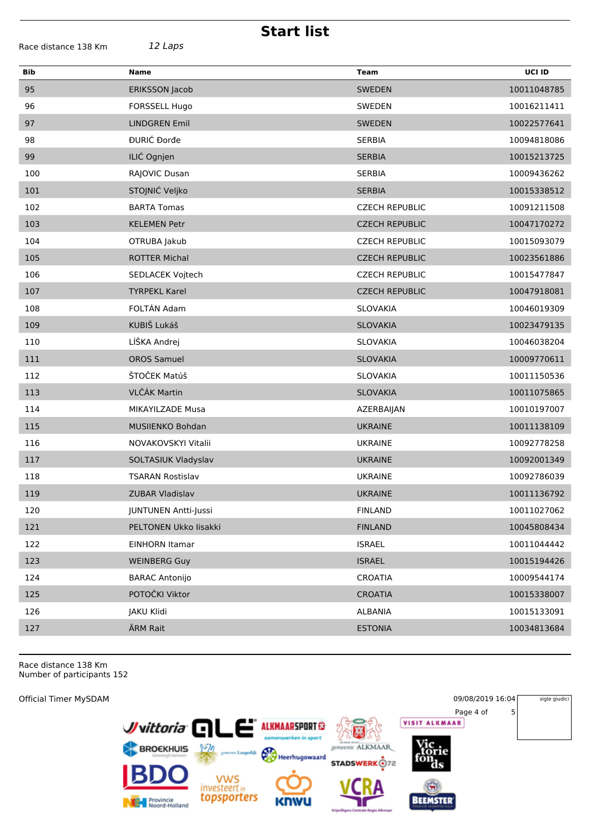| <b>Start list</b>    |                         |                       |             |  |
|----------------------|-------------------------|-----------------------|-------------|--|
| Race distance 138 Km | 12 Laps                 |                       |             |  |
| <b>Bib</b>           | <b>Name</b>             | Team                  | UCI ID      |  |
| 95                   | <b>ERIKSSON Jacob</b>   | <b>SWEDEN</b>         | 10011048785 |  |
| 96                   | FORSSELL Hugo           | SWEDEN                | 10016211411 |  |
| 97                   | <b>LINDGREN Emil</b>    | <b>SWEDEN</b>         | 10022577641 |  |
| 98                   | ĐURIĆ Đorđe             | <b>SERBIA</b>         | 10094818086 |  |
| 99                   | ILIĆ Ognjen             | <b>SERBIA</b>         | 10015213725 |  |
| 100                  | RAJOVIC Dusan           | <b>SERBIA</b>         | 10009436262 |  |
| 101                  | STOJNIĆ Veljko          | <b>SERBIA</b>         | 10015338512 |  |
| 102                  | <b>BARTA Tomas</b>      | <b>CZECH REPUBLIC</b> | 10091211508 |  |
| 103                  | <b>KELEMEN Petr</b>     | <b>CZECH REPUBLIC</b> | 10047170272 |  |
| 104                  | OTRUBA Jakub            | <b>CZECH REPUBLIC</b> | 10015093079 |  |
| 105                  | <b>ROTTER Michal</b>    | <b>CZECH REPUBLIC</b> | 10023561886 |  |
| 106                  | SEDLACEK Vojtech        | <b>CZECH REPUBLIC</b> | 10015477847 |  |
| 107                  | <b>TYRPEKL Karel</b>    | <b>CZECH REPUBLIC</b> | 10047918081 |  |
| 108                  | FOLTÁN Adam             | <b>SLOVAKIA</b>       | 10046019309 |  |
| 109                  | KUBIŠ Lukáš             | <b>SLOVAKIA</b>       | 10023479135 |  |
| 110                  | LÍŠKA Andrej            | SLOVAKIA              | 10046038204 |  |
| 111                  | <b>OROS Samuel</b>      | <b>SLOVAKIA</b>       | 10009770611 |  |
| 112                  | ŠTOČEK Matúš            | <b>SLOVAKIA</b>       | 10011150536 |  |
| 113                  | VLČÁK Martin            | <b>SLOVAKIA</b>       | 10011075865 |  |
| 114                  | MIKAYILZADE Musa        | AZERBAIJAN            | 10010197007 |  |
| 115                  | MUSIIENKO Bohdan        | <b>UKRAINE</b>        | 10011138109 |  |
| 116                  | NOVAKOVSKYI Vitalii     | <b>UKRAINE</b>        | 10092778258 |  |
| 117                  | SOLTASIUK Vladyslav     | <b>UKRAINE</b>        | 10092001349 |  |
| 118                  | <b>TSARAN Rostislav</b> | <b>UKRAINE</b>        | 10092786039 |  |
| 119                  | ZUBAR Vladislav         | <b>UKRAINE</b>        | 10011136792 |  |
| 120                  | JUNTUNEN Antti-Jussi    | <b>FINLAND</b>        | 10011027062 |  |
| 121                  | PELTONEN Ukko lisakki   | <b>FINLAND</b>        | 10045808434 |  |
| 122                  | <b>EINHORN Itamar</b>   | <b>ISRAEL</b>         | 10011044442 |  |
| 123                  | <b>WEINBERG Guy</b>     | <b>ISRAEL</b>         | 10015194426 |  |
| 124                  | <b>BARAC Antonijo</b>   | <b>CROATIA</b>        | 10009544174 |  |
| 125                  | POTOČKI Viktor          | <b>CROATIA</b>        | 10015338007 |  |
| 126                  | JAKU Klidi              | ALBANIA               | 10015133091 |  |
| 127                  | ÄRM Rait                | <b>ESTONIA</b>        | 10034813684 |  |
|                      |                         |                       |             |  |